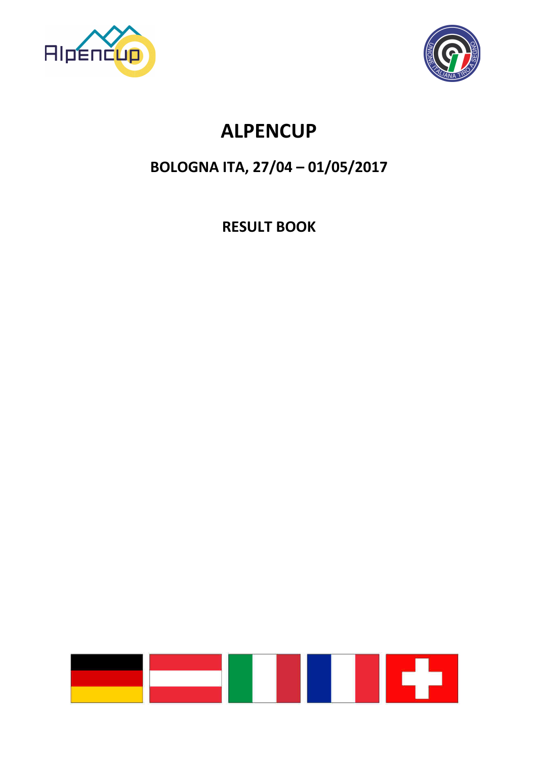

# **ALPENCUP**

## **BOLOGNA ITA, 27/04 - 01/05/2017**

**RESULT BOOK** 

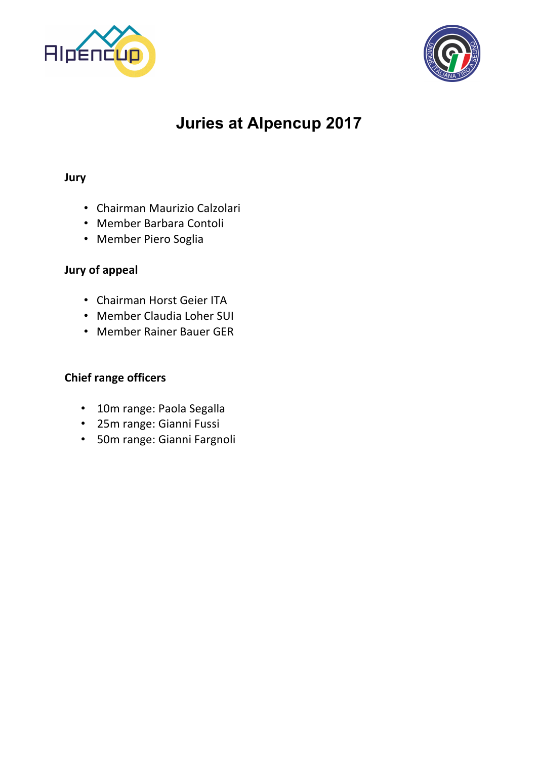

## **Juries at Alpencup 2017**

#### **Jury**

- Chairman Maurizio Calzolari
- Member Barbara Contoli
- Member Piero Soglia

#### **Jury of appeal**

- Chairman Horst Geier ITA
- Member Claudia Loher SUI
- Member Rainer Bauer GER

#### **Chief range officers**

- 10m range: Paola Segalla
- 25m range: Gianni Fussi
- 50m range: Gianni Fargnoli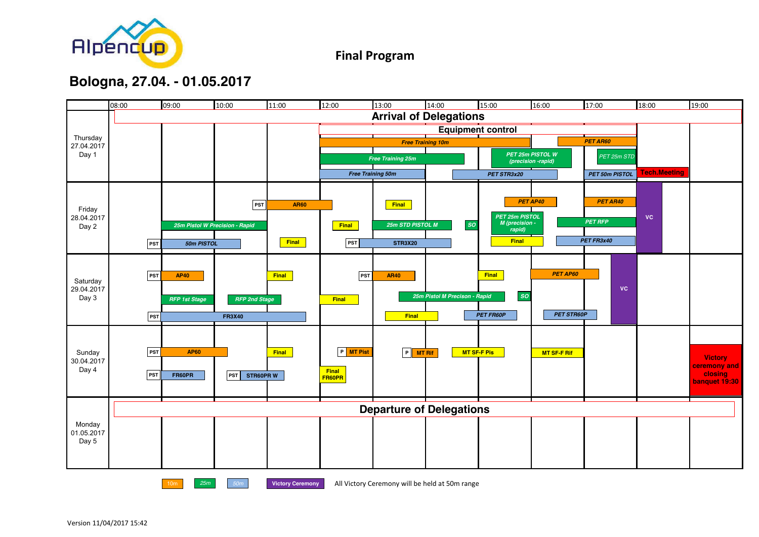

**Final Program**

### **Bologna, 27.04. - 01.05.2017**

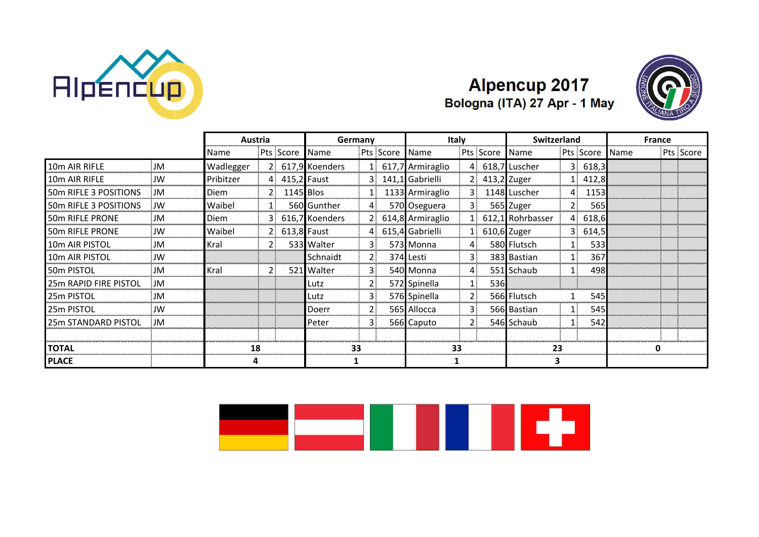

### **Alpencup 2017** Bologna (ITA) 27 Apr - 1 May



|                           |           |           | Austria     |               |                  | Germany     |           |                    | Italy          |           |                  | <b>Switzerland</b> |            |             | <b>France</b> |  |
|---------------------------|-----------|-----------|-------------|---------------|------------------|-------------|-----------|--------------------|----------------|-----------|------------------|--------------------|------------|-------------|---------------|--|
|                           |           | Name      |             | Pts Score     | <b>I</b> Name    |             | Pts Score | <b>I</b> Name      |                | Pts Score | Name             |                    | Pts Score  | <b>Name</b> | Pts Score     |  |
| 10m AIR RIFLE             | <b>JM</b> | Wadlegger |             |               | 2 617,9 Koenders |             |           | 1 617,7 Armiraglio |                |           | 618,7 Luscher    |                    | 3, 618, 3  |             |               |  |
| 10 <sub>m</sub> AIR RIFLE | JW        | Pribitzer |             | 4 415,2 Faust |                  |             |           | 141,1 Gabrielli    | 21             |           | 413,2 Zuger      |                    | 1 412.8    |             |               |  |
| 50m RIFLE 3 POSITIONS     | <b>JM</b> | Diem      | $2^{\circ}$ |               | 1145 Blos        |             |           | 1133 Armiraglio    | 3.             |           | 1148 Luscher     | 4.                 | 1153       |             |               |  |
| 50m RIFLE 3 POSITIONS     | JW        | Waibel    | 11          |               | 560 Gunther      |             |           | 570 Oseguera       | $\mathbf{3}$   |           | 565 Zuger        | 2:                 | 565        |             |               |  |
| <b>50m RIFLE PRONE</b>    | JM        | Diem      | 31          |               | 616,7 Koenders   |             |           | 614,8 Armiraglio   |                |           | 612,1 Rohrbasser |                    | 4 618,6    |             |               |  |
| <b>50m RIFLE PRONE</b>    | JW        | Waibel    | 2.          |               | $613,8$ Faust    |             |           | 4 615,4 Gabrielli  |                |           | 610,6 Zuger      |                    | 3, 614, 5  |             |               |  |
| 10m AIR PISTOL            | JM        | l Kral    |             |               | 533 Walter       | 3.          |           | 573 Monna          |                |           | 580 Flutsch      |                    | 533        |             |               |  |
| 10m AIR PISTOL            | JW        |           |             |               | Schnaidt         | $2^{\circ}$ |           | 374 Lesti          | 3.             |           | 383 Bastian      | 1:                 | 367        |             |               |  |
| 50m PISTOL                | JM        | Kral      | 21          |               | 521 Walter       | 31          |           | 540 Monna          | 4              |           | 551 Schaub       | 1                  | 498        |             |               |  |
| 25m RAPID FIRE PISTOL     | JM        |           |             |               | Lutz             | 2.          |           | 572 Spinella       | $\mathbf{1}$   | 536       |                  |                    |            |             |               |  |
| 25m PISTOL                | JM        |           |             |               | Lutz             | 3.          |           | 576 Spinella       | 2 <sub>1</sub> |           | 566 Flutsch      |                    | <b>545</b> |             |               |  |
| 25m PISTOL                | <b>IW</b> |           |             |               | l Doerr          |             |           | 565 Allocca        | 3              |           | 566 Bastian      | 1 :                | 545        |             |               |  |
| 25m STANDARD PISTOL       | ∴JM       |           |             |               | Peter            |             |           | 566 Caputo         | 2              |           | 546 Schaub       | 1 :                | 542        |             |               |  |
| <b>TOTAL</b>              |           |           | 18          |               |                  | 33          |           |                    | 33             |           | 23               |                    |            |             | 0             |  |
| <b>PLACE</b>              |           |           |             |               |                  |             |           |                    |                |           |                  |                    |            |             |               |  |

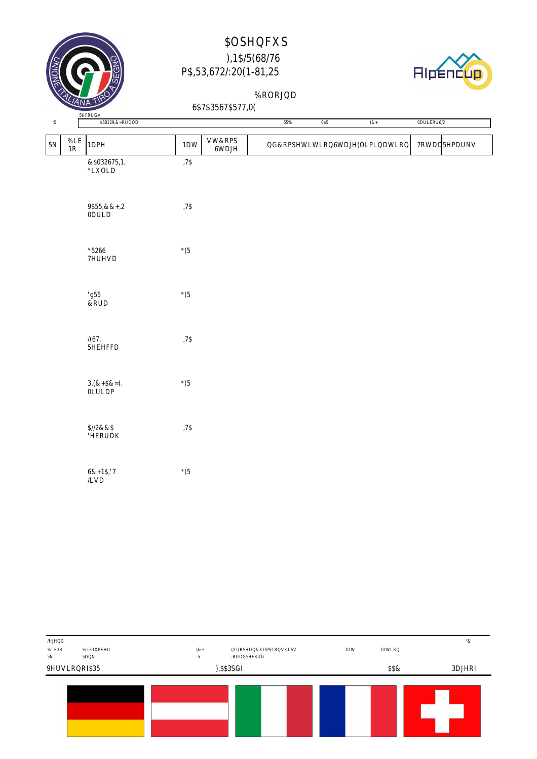



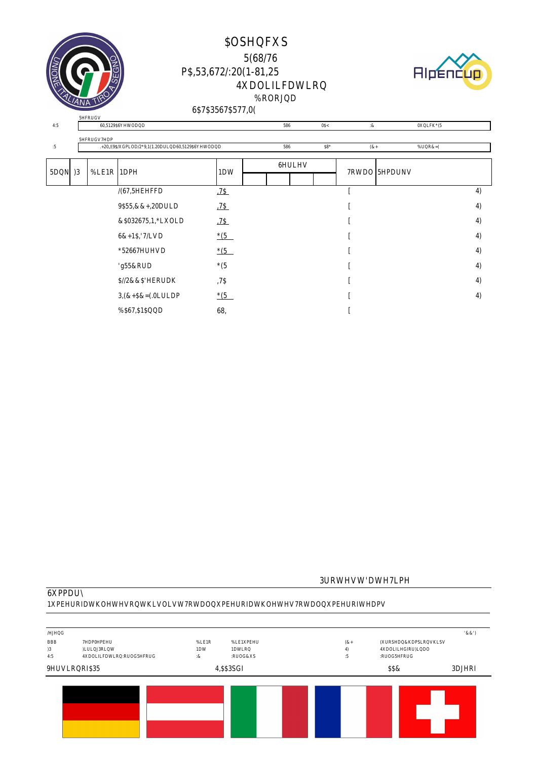





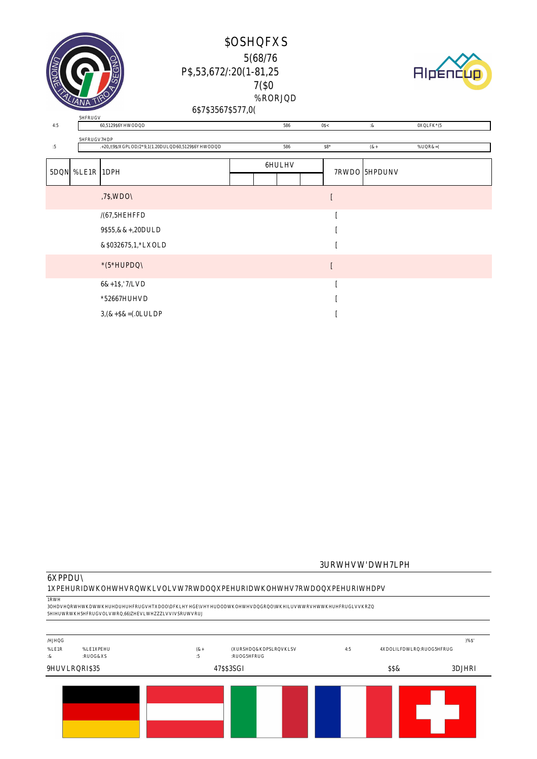



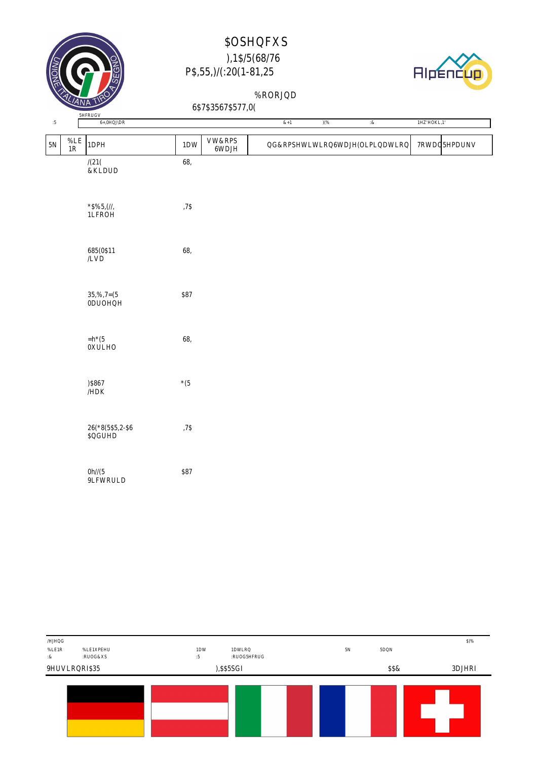



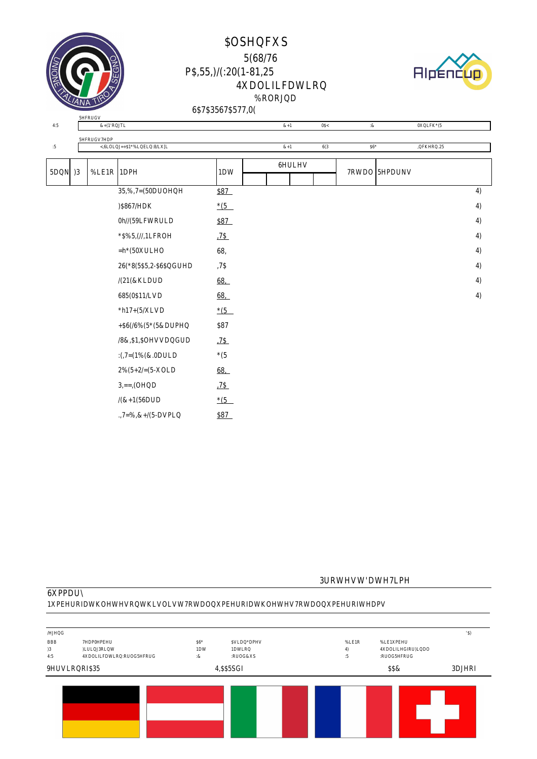



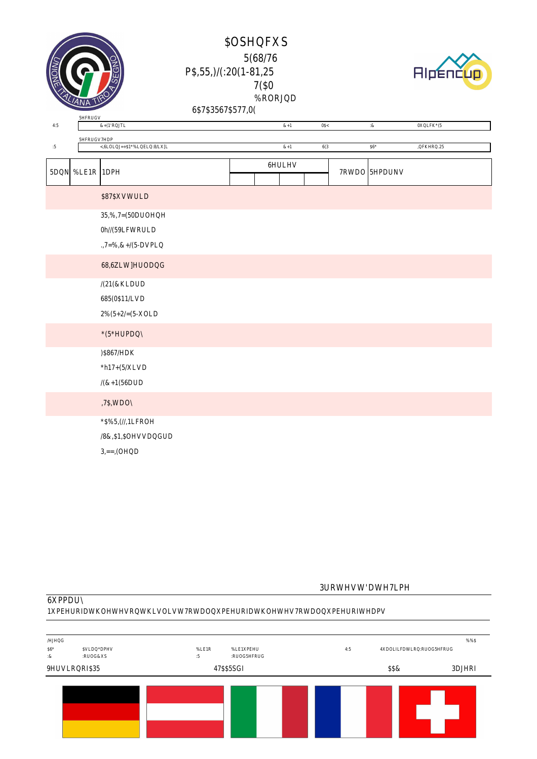



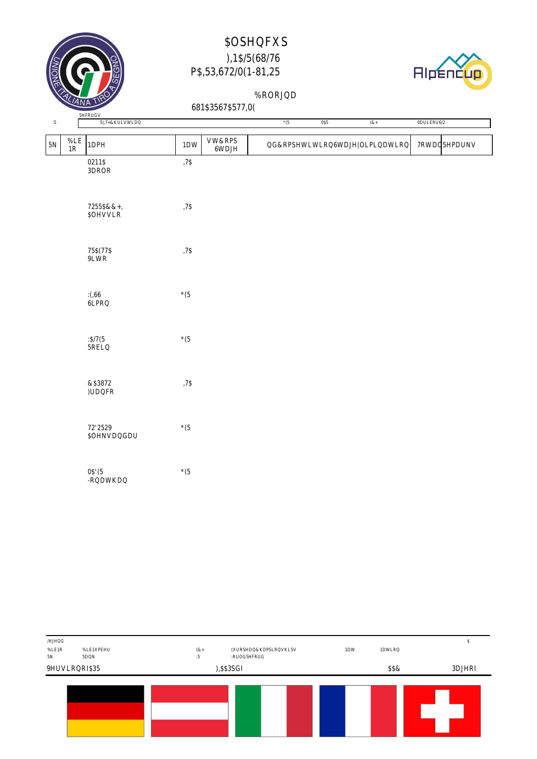



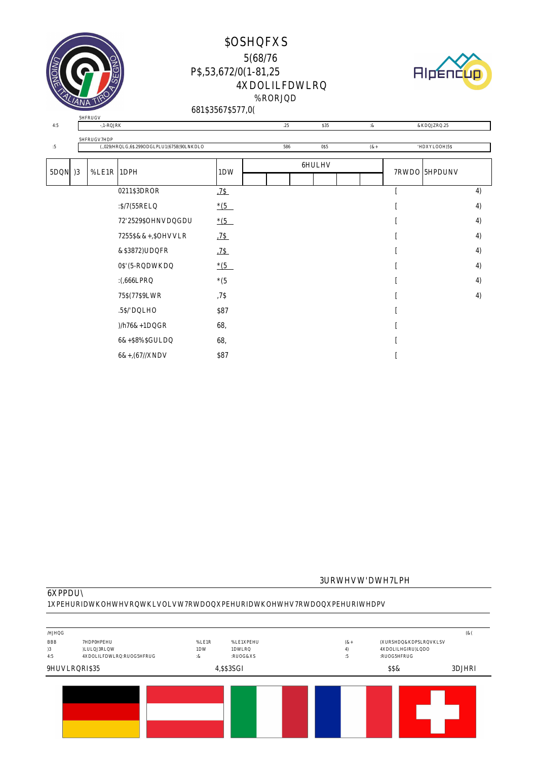





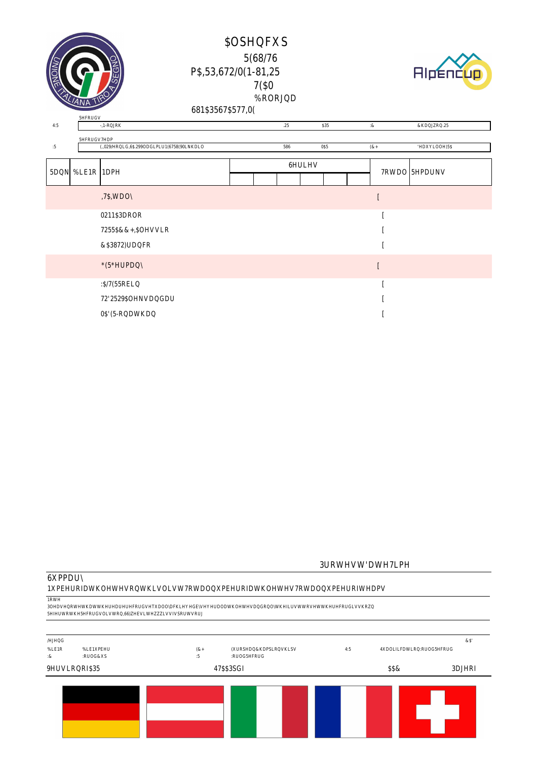



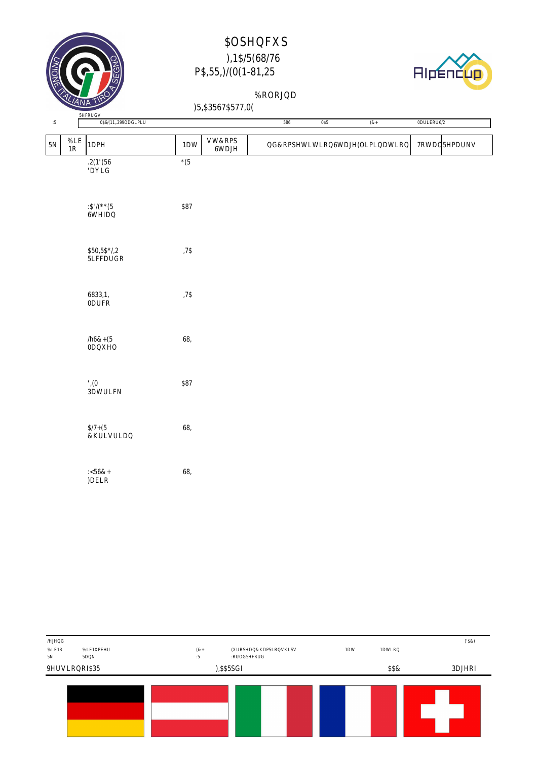



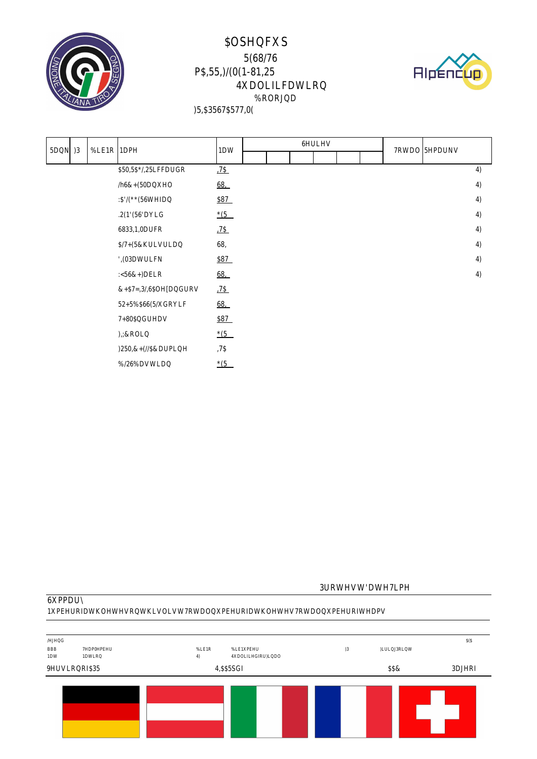



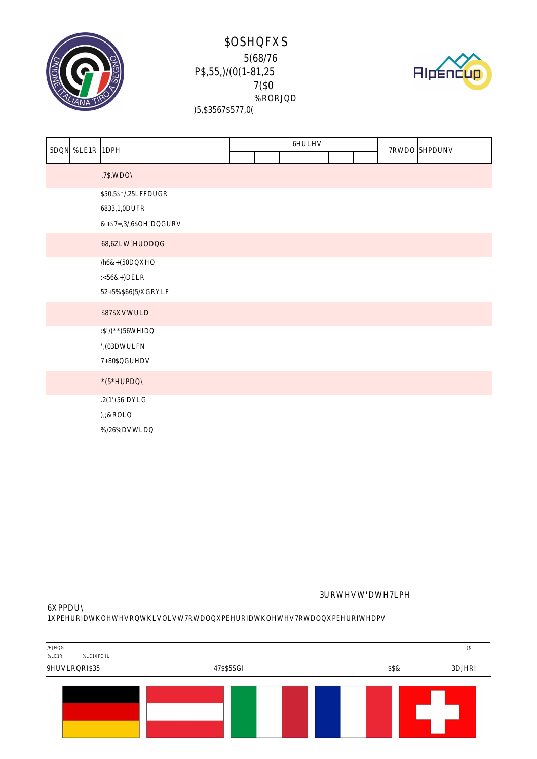





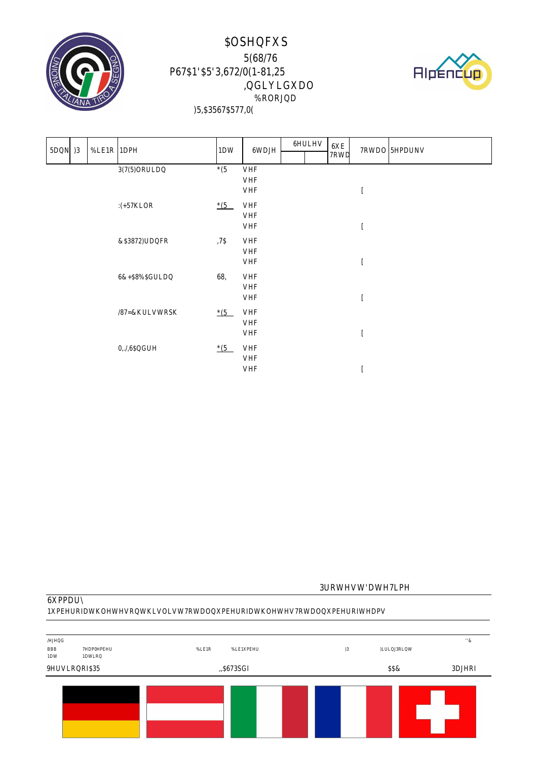



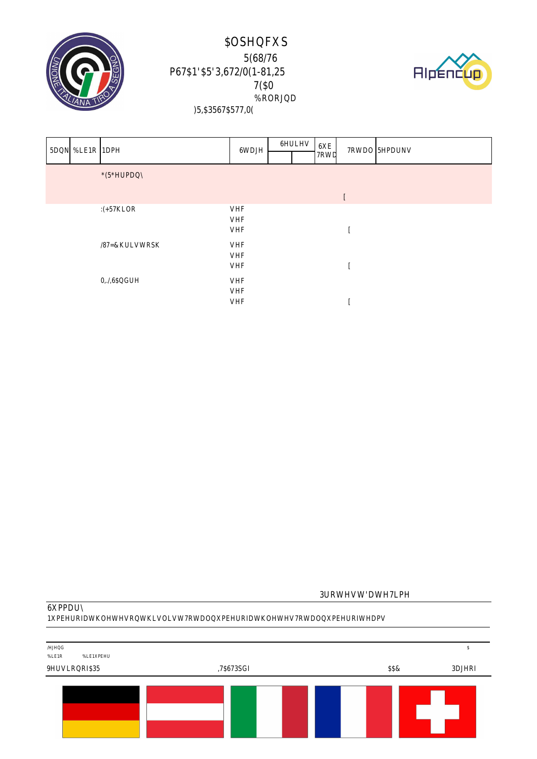



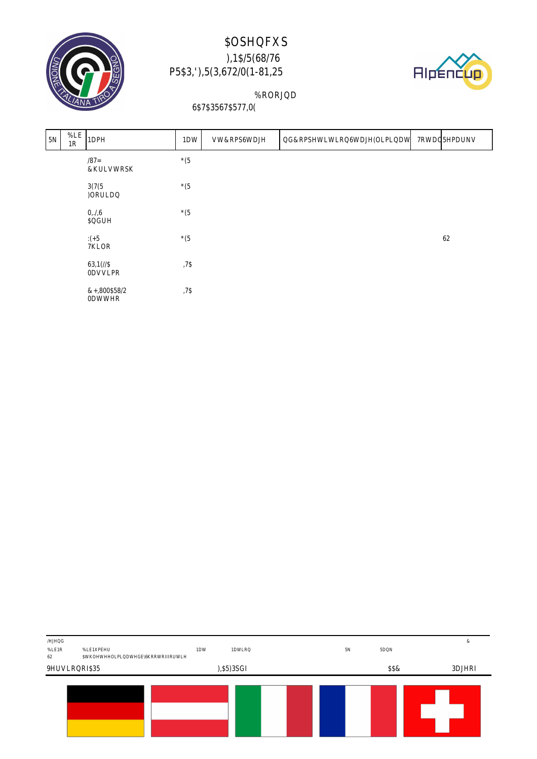



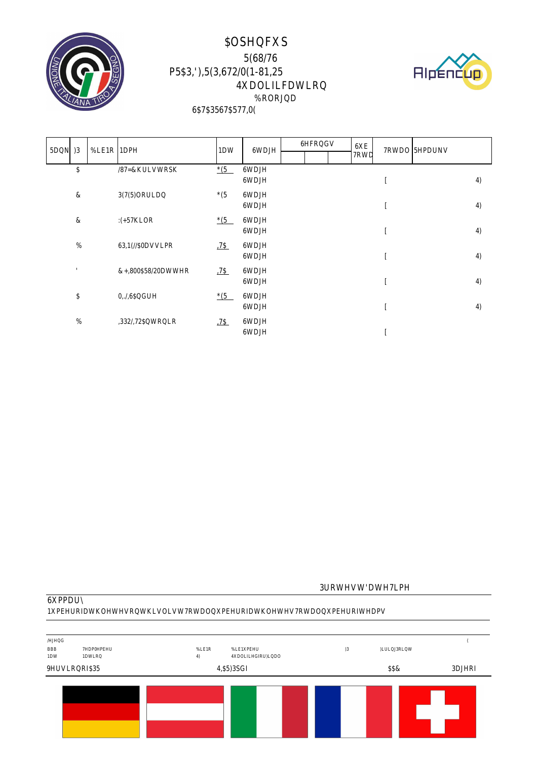



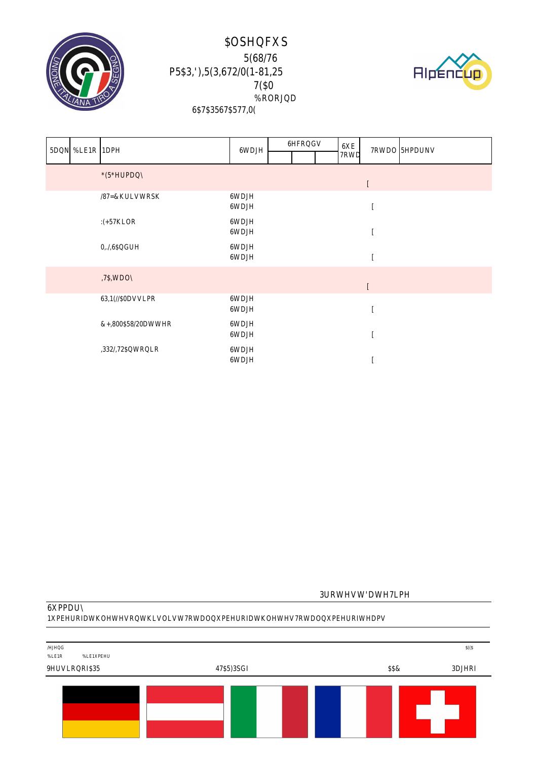



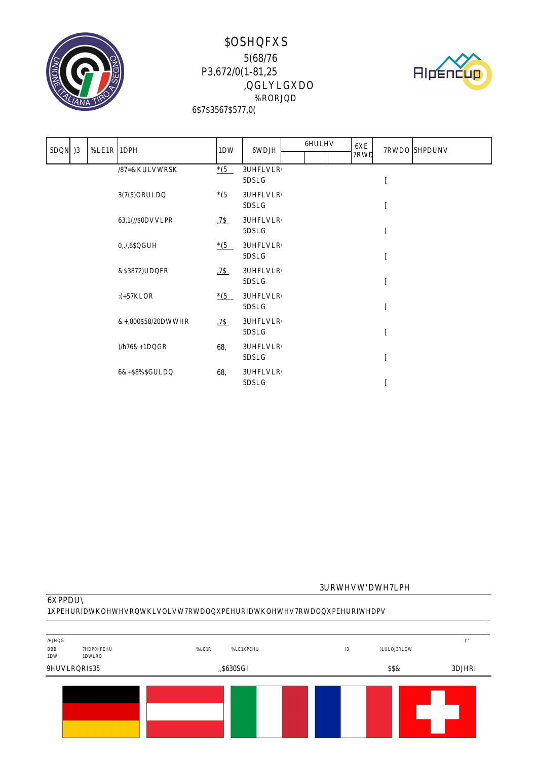



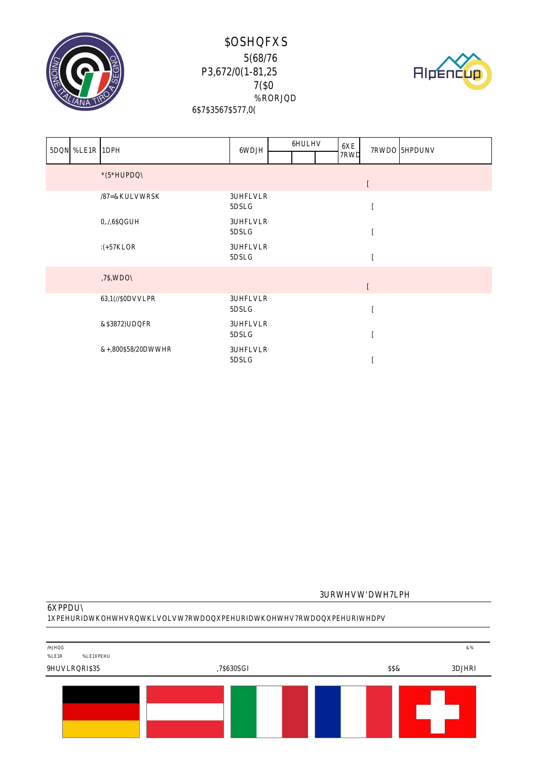



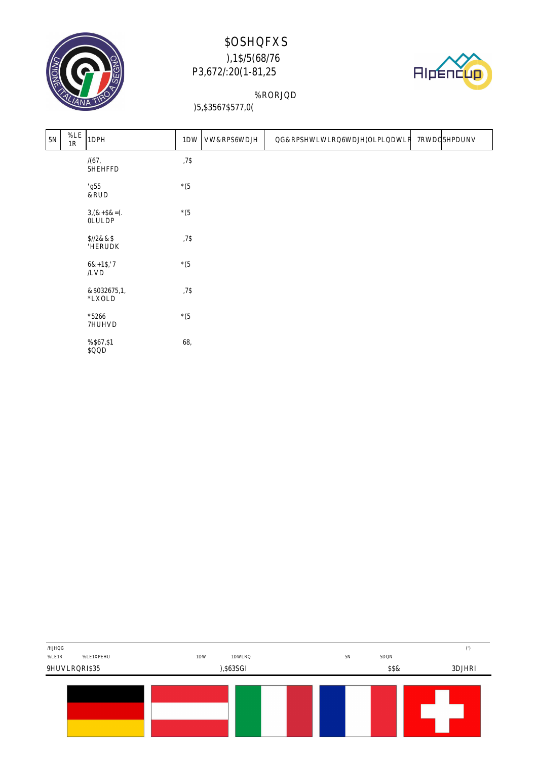



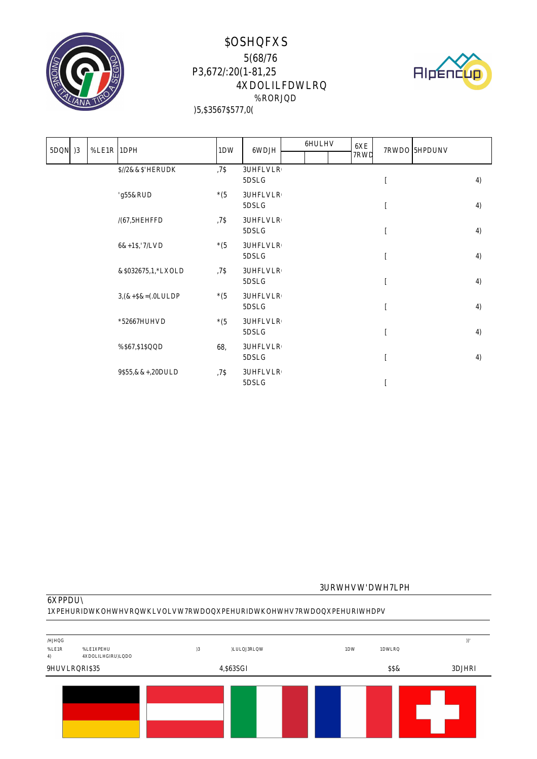



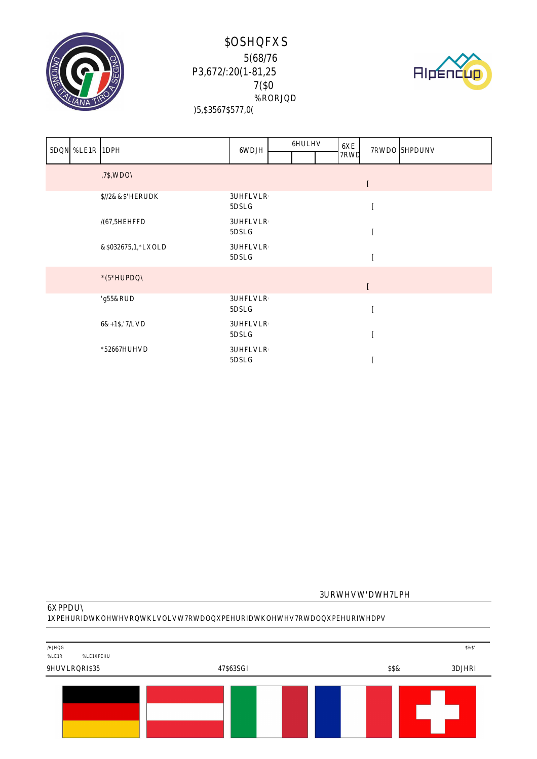



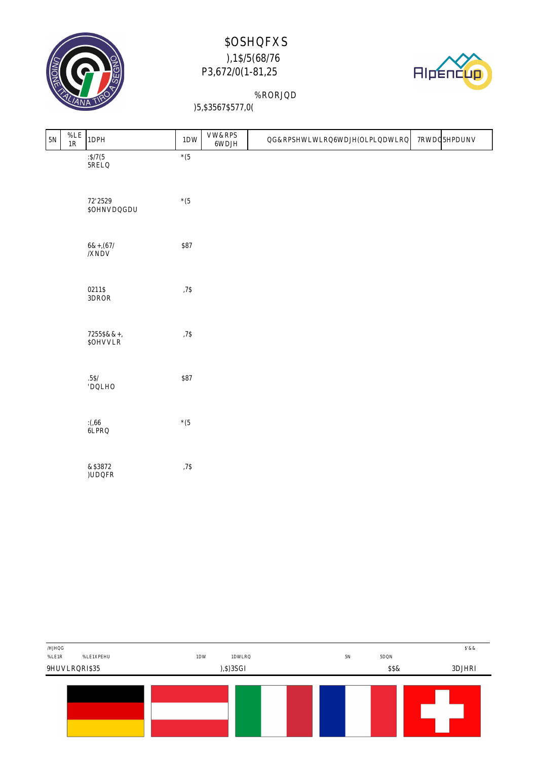



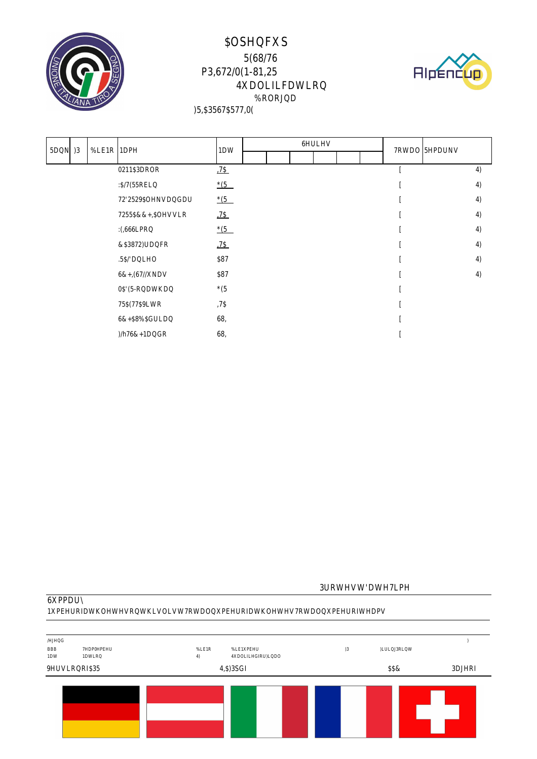





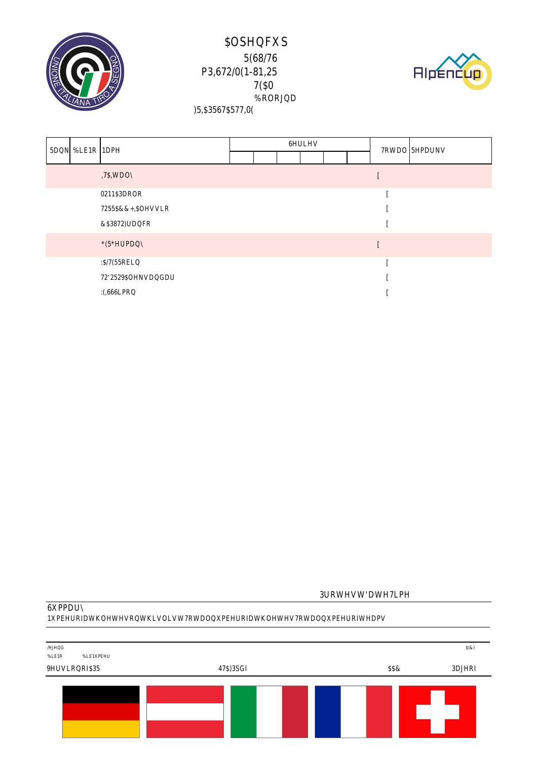





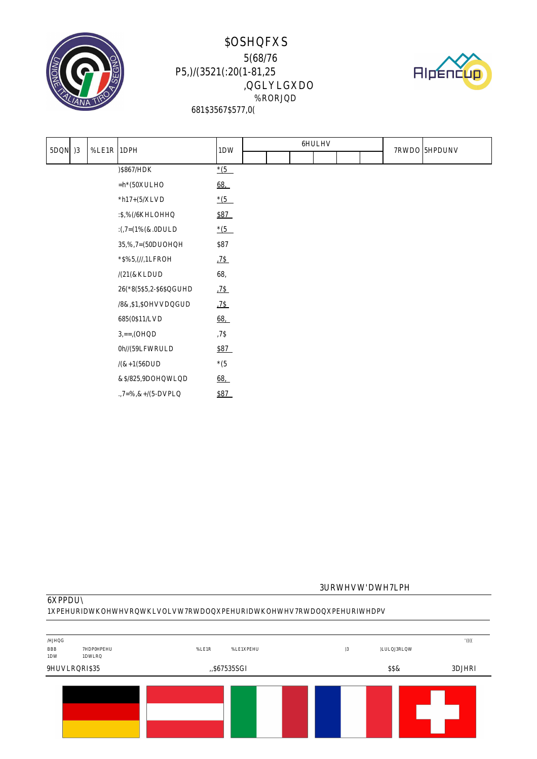



|  |  |  |  |  |  |  |  | <u> 1989 - Andre Harrison, Amerikaansk politiker (</u> |
|--|--|--|--|--|--|--|--|--------------------------------------------------------|
|  |  |  |  |  |  |  |  |                                                        |
|  |  |  |  |  |  |  |  |                                                        |
|  |  |  |  |  |  |  |  |                                                        |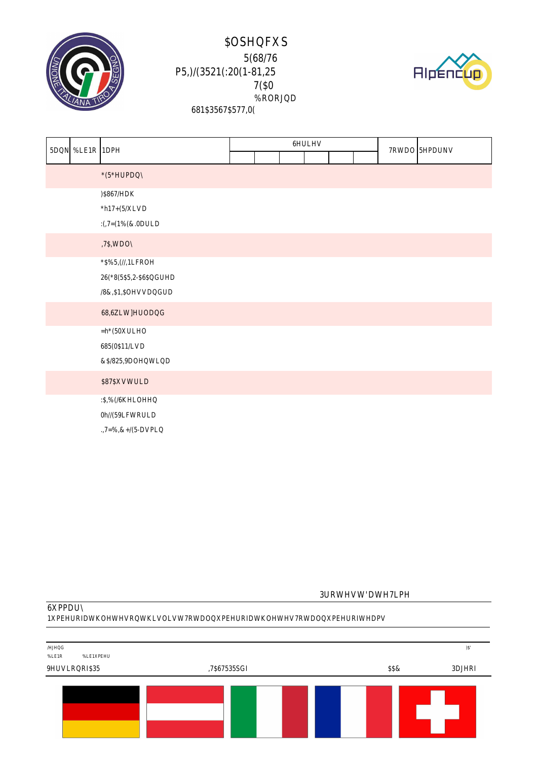





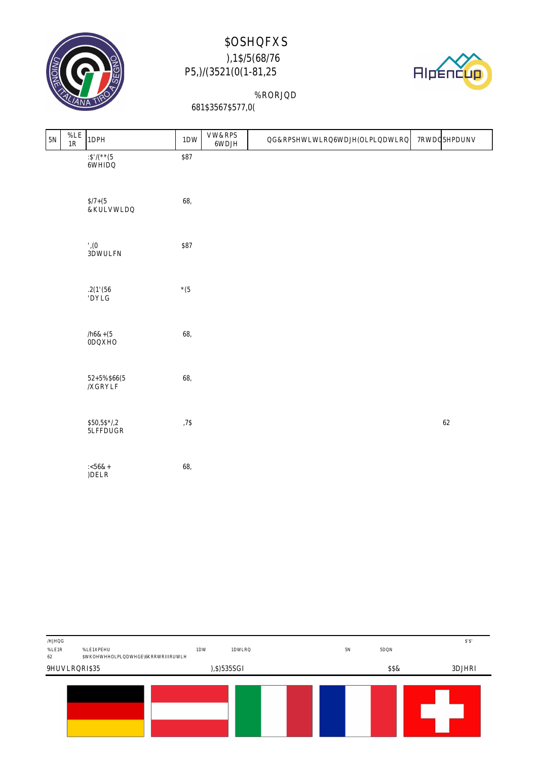



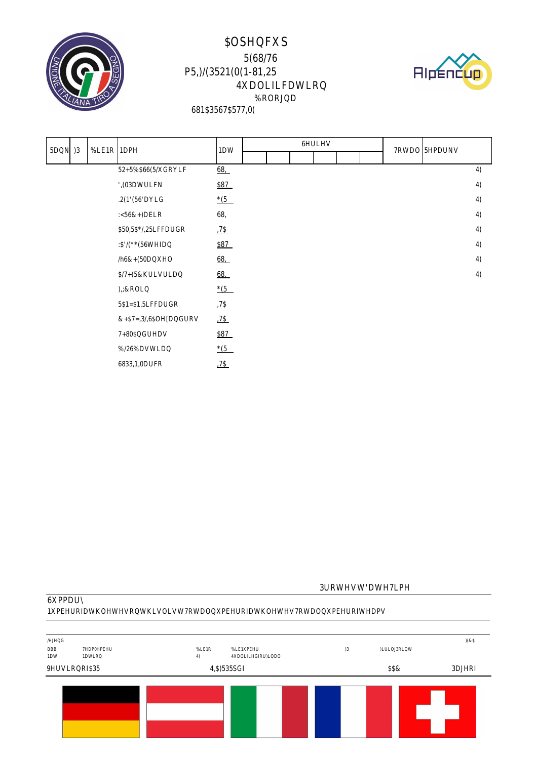



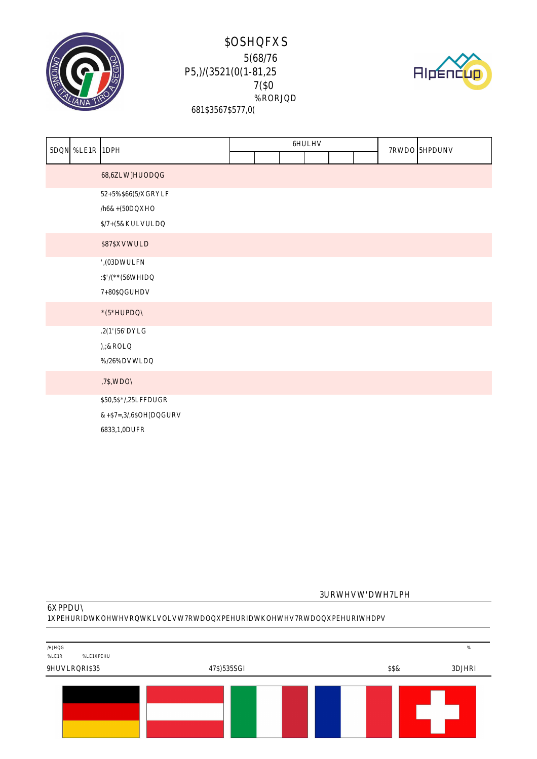





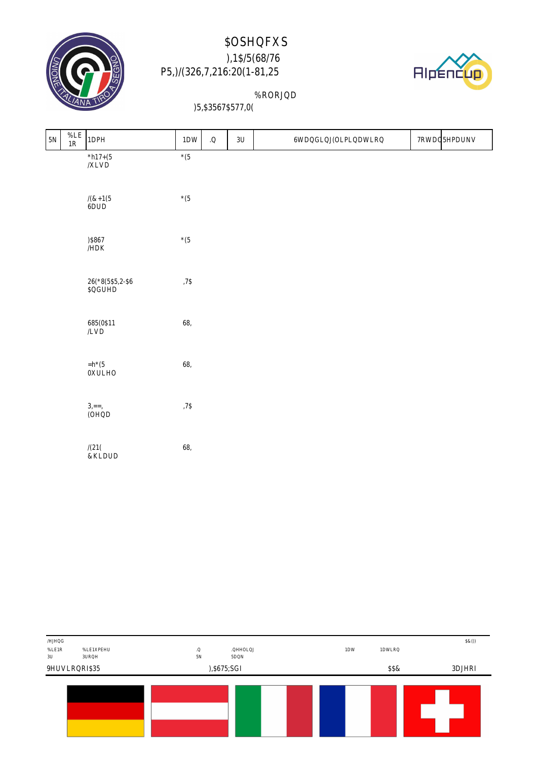



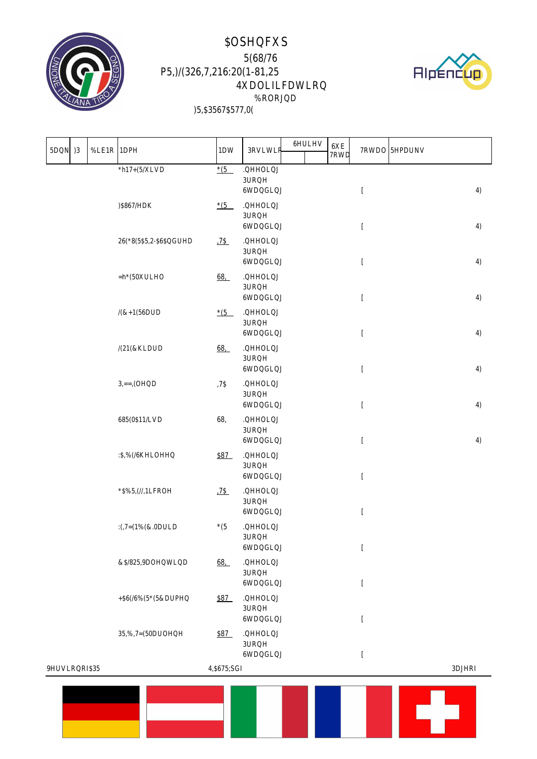



|  |  |  |  |  |  | <u> 1989 - Jan Stein Berlin, mars eta inparatore</u> |  |  |
|--|--|--|--|--|--|------------------------------------------------------|--|--|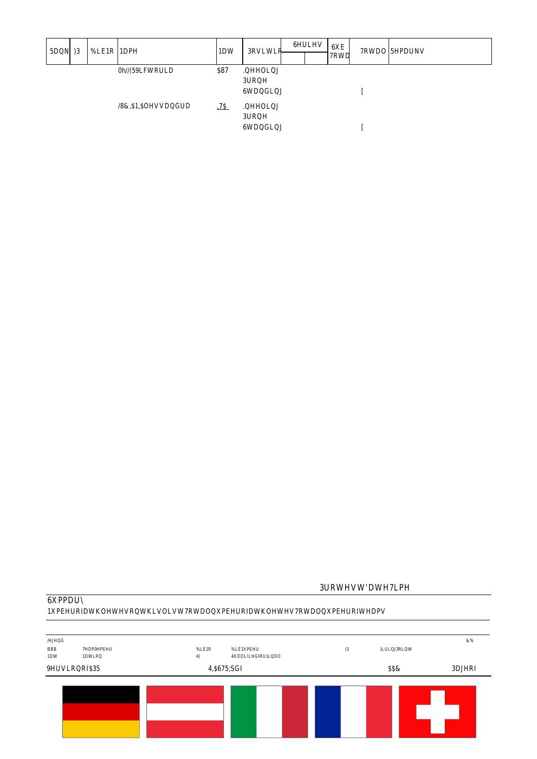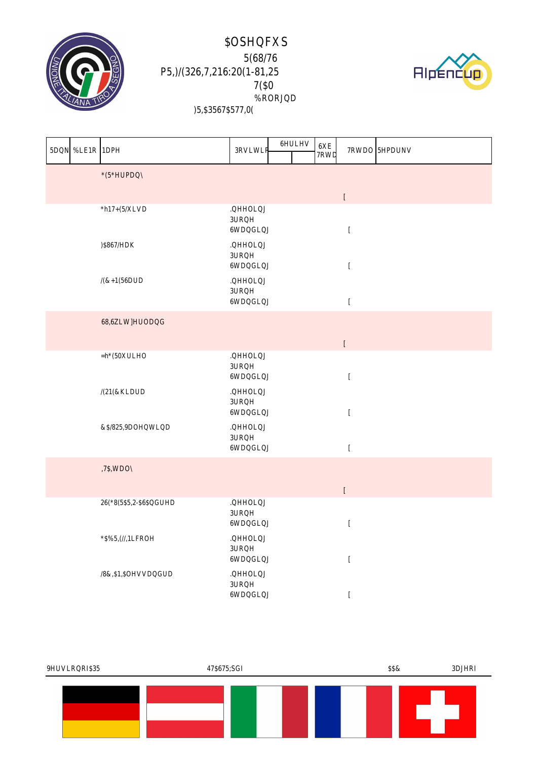



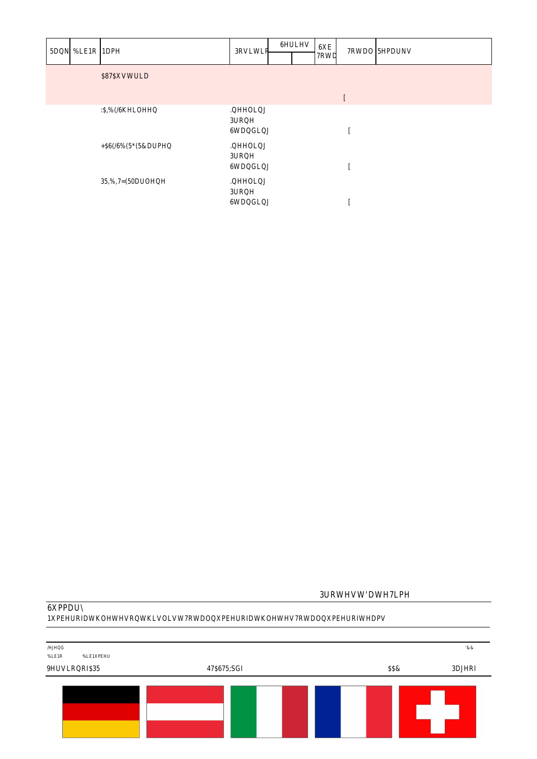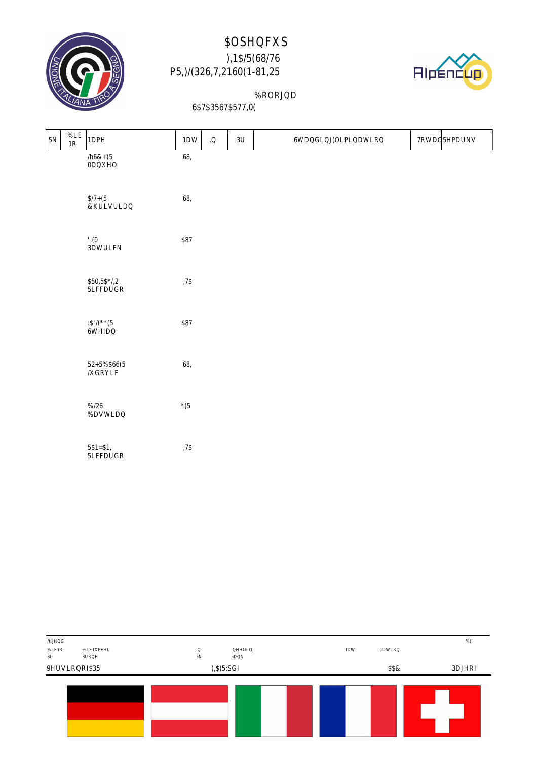



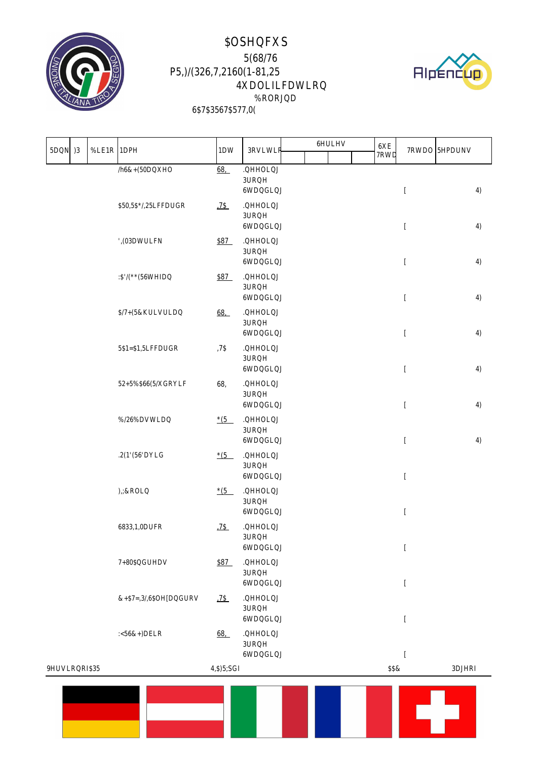



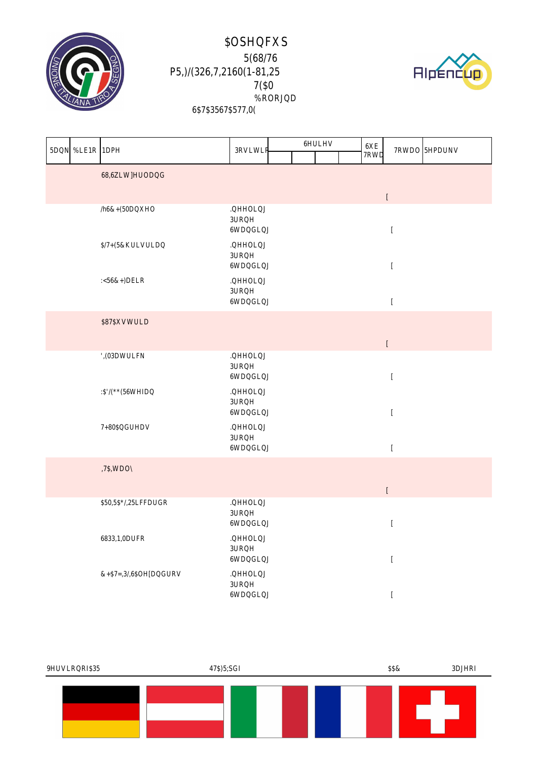